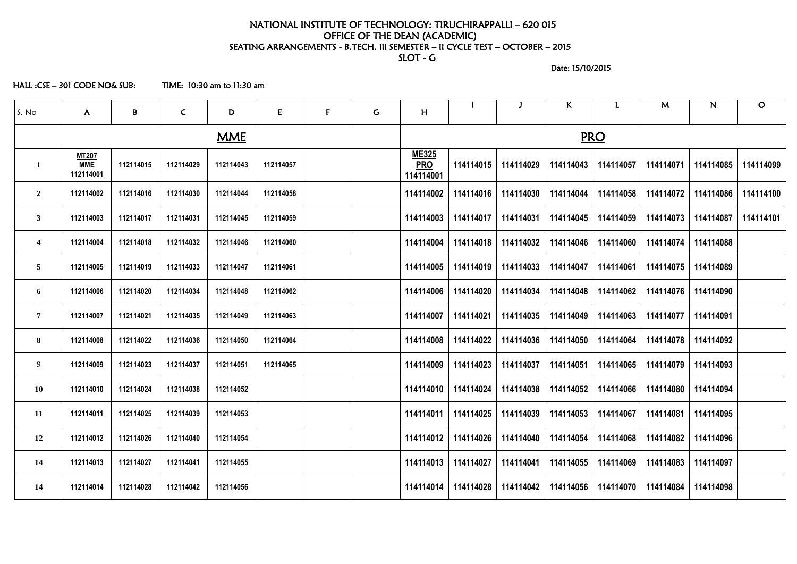# NATIONAL INSTITUTE OF TECHNOLOGY: TIRUCHIRAPPALLI – 620 015 OFFICE OF THE DEAN (ACADEMIC) SEATING ARRANGEMENTS - B.TECH. III SEMESTER – II CYCLE TEST – OCTOBER – 2015 SLOT - G

Date: 15/10/2015

HALL :CSE – 301 CODE NO& SUB: TIME: 10:30 am to 11:30 am

| S. No                   | $\mathsf{A}$                            | B         | $\mathsf C$ | D          | E         | $\mathsf F$ | $\mathsf C$ | H                                       |           |           | K.        |            | M         | $\mathbf N$ | $\mathsf{O}$ |
|-------------------------|-----------------------------------------|-----------|-------------|------------|-----------|-------------|-------------|-----------------------------------------|-----------|-----------|-----------|------------|-----------|-------------|--------------|
|                         |                                         |           |             | <b>MME</b> |           |             |             |                                         |           |           |           | <b>PRO</b> |           |             |              |
| $\mathbf{1}$            | <b>MT207</b><br><b>MME</b><br>112114001 | 112114015 | 112114029   | 112114043  | 112114057 |             |             | <b>ME325</b><br><b>PRO</b><br>114114001 | 114114015 | 114114029 | 114114043 | 114114057  | 114114071 | 114114085   | 114114099    |
| $\overline{2}$          | 112114002                               | 112114016 | 112114030   | 112114044  | 112114058 |             |             | 114114002                               | 114114016 | 114114030 | 114114044 | 114114058  | 114114072 | 114114086   | 114114100    |
| $\mathbf{3}$            | 112114003                               | 112114017 | 112114031   | 112114045  | 112114059 |             |             | 114114003                               | 114114017 | 114114031 | 114114045 | 114114059  | 114114073 | 114114087   | 114114101    |
| $\overline{\mathbf{4}}$ | 112114004                               | 112114018 | 112114032   | 112114046  | 112114060 |             |             | 114114004                               | 114114018 | 114114032 | 114114046 | 114114060  | 114114074 | 114114088   |              |
| 5 <sup>5</sup>          | 112114005                               | 112114019 | 112114033   | 112114047  | 112114061 |             |             | 114114005                               | 114114019 | 114114033 | 114114047 | 114114061  | 114114075 | 114114089   |              |
| 6                       | 112114006                               | 112114020 | 112114034   | 112114048  | 112114062 |             |             | 114114006                               | 114114020 | 114114034 | 114114048 | 114114062  | 114114076 | 114114090   |              |
| $\overline{7}$          | 112114007                               | 112114021 | 112114035   | 112114049  | 112114063 |             |             | 114114007                               | 114114021 | 114114035 | 114114049 | 114114063  | 114114077 | 114114091   |              |
| 8                       | 112114008                               | 112114022 | 112114036   | 112114050  | 112114064 |             |             | 114114008                               | 114114022 | 114114036 | 114114050 | 114114064  | 114114078 | 114114092   |              |
| 9                       | 112114009                               | 112114023 | 112114037   | 112114051  | 112114065 |             |             | 114114009                               | 114114023 | 114114037 | 114114051 | 114114065  | 114114079 | 114114093   |              |
| <b>10</b>               | 112114010                               | 112114024 | 112114038   | 112114052  |           |             |             | 114114010                               | 114114024 | 114114038 | 114114052 | 114114066  | 114114080 | 114114094   |              |
| 11                      | 112114011                               | 112114025 | 112114039   | 112114053  |           |             |             | 114114011                               | 114114025 | 114114039 | 114114053 | 114114067  | 114114081 | 114114095   |              |
| 12                      | 112114012                               | 112114026 | 112114040   | 112114054  |           |             |             | 114114012                               | 114114026 | 114114040 | 114114054 | 114114068  | 114114082 | 114114096   |              |
| 14                      | 112114013                               | 112114027 | 112114041   | 112114055  |           |             |             | 114114013                               | 114114027 | 114114041 | 114114055 | 114114069  | 114114083 | 114114097   |              |
| 14                      | 112114014                               | 112114028 | 112114042   | 112114056  |           |             |             | 114114014                               | 114114028 | 114114042 | 114114056 | 114114070  | 114114084 | 114114098   |              |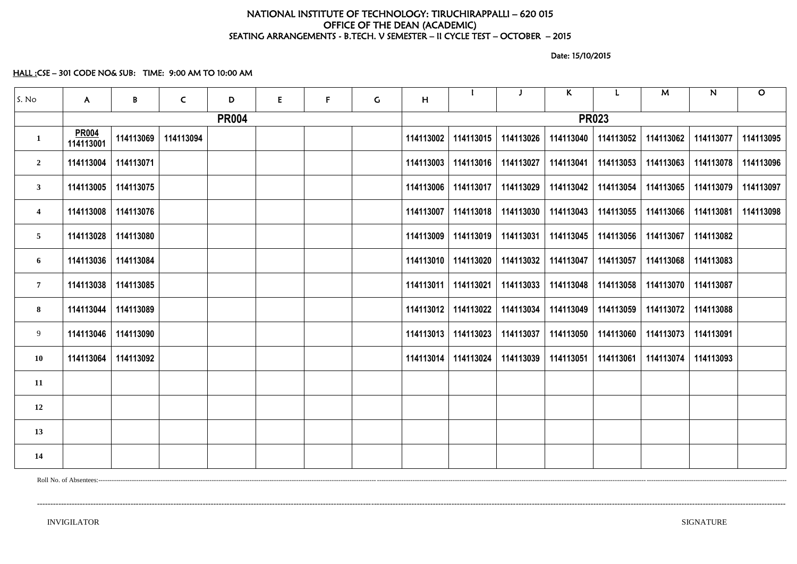# NATIONAL INSTITUTE OF TECHNOLOGY: TIRUCHIRAPPALLI – 620 015 OFFICE OF THE DEAN (ACADEMIC) SEATING ARRANGEMENTS - B.TECH. V SEMESTER – II CYCLE TEST – OCTOBER – 2015

Date: 15/10/2015

HALL :CSE – 301 CODE NO& SUB: TIME: 9:00 AM TO 10:00 AM

| S. No                   | $\mathsf{A}$              | B         | $\mathsf{C}$ | D            | E | F | $\mathsf{G}$ | H         |                                   |                       | $\mathsf{K}$ |              | M                                 | $\mathsf{N}$ | $\mathbf O$ |
|-------------------------|---------------------------|-----------|--------------|--------------|---|---|--------------|-----------|-----------------------------------|-----------------------|--------------|--------------|-----------------------------------|--------------|-------------|
|                         |                           |           |              | <b>PR004</b> |   |   |              |           |                                   |                       |              | <b>PR023</b> |                                   |              |             |
| $\mathbf{1}$            | <b>PR004</b><br>114113001 | 114113069 | 114113094    |              |   |   |              | 114113002 | 114113015                         | 114113026             | 114113040    | 114113052    | 114113062                         | 114113077    | 114113095   |
| $\overline{2}$          | 114113004                 | 114113071 |              |              |   |   |              | 114113003 | 114113016                         | 114113027             | 114113041    | 114113053    | 114113063                         | 114113078    | 114113096   |
| 3                       | 114113005                 | 114113075 |              |              |   |   |              | 114113006 | 114113017                         | 114113029             | 114113042    | 114113054    | 114113065                         | 114113079    | 114113097   |
| $\overline{\mathbf{4}}$ | 114113008                 | 114113076 |              |              |   |   |              | 114113007 |                                   | 114113018   114113030 | 114113043    |              | 114113055   114113066   114113081 |              | 114113098   |
| 5 <sub>5</sub>          | 114113028                 | 114113080 |              |              |   |   |              | 114113009 | 114113019                         | 114113031             | 114113045    |              | 114113056   114113067             | 114113082    |             |
| 6                       | 114113036                 | 114113084 |              |              |   |   |              | 114113010 | 114113020                         | 114113032             | 114113047    | 114113057    | 114113068                         | 114113083    |             |
| $7\phantom{.0}$         | 114113038                 | 114113085 |              |              |   |   |              | 114113011 | 114113021                         | 114113033             | 114113048    |              | 114113058   114113070             | 114113087    |             |
| 8                       | 114113044                 | 114113089 |              |              |   |   |              | 114113012 |                                   | 114113022   114113034 | 114113049    |              | 114113059   114113072             | 114113088    |             |
| 9                       | 114113046                 | 114113090 |              |              |   |   |              | 114113013 | 114113023                         | 114113037             | 114113050    |              | 114113060   114113073             | 114113091    |             |
| 10                      | 114113064                 | 114113092 |              |              |   |   |              |           | 114113014   114113024   114113039 |                       | 114113051    |              | 114113061 114113074               | 114113093    |             |
| 11                      |                           |           |              |              |   |   |              |           |                                   |                       |              |              |                                   |              |             |
| 12                      |                           |           |              |              |   |   |              |           |                                   |                       |              |              |                                   |              |             |
| 13                      |                           |           |              |              |   |   |              |           |                                   |                       |              |              |                                   |              |             |
| 14                      |                           |           |              |              |   |   |              |           |                                   |                       |              |              |                                   |              |             |

Roll No. of Absentees:---------------------------------------------------------------------------------------------------------------------------------------------------------------------------------------------------------------------------------------------------------------------------------------------------------------------

----------------------------------------------------------------------------------------------------------------------------------------------------------------------------------------------------------------------------------------------------------------------------------------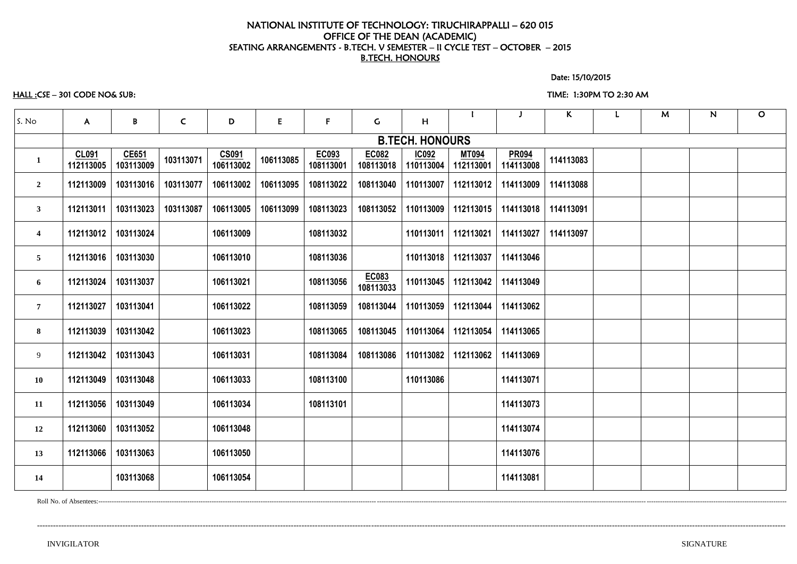# NATIONAL INSTITUTE OF TECHNOLOGY: TIRUCHIRAPPALLI – 620 015 OFFICE OF THE DEAN (ACADEMIC) SEATING ARRANGEMENTS - B.TECH. V SEMESTER – II CYCLE TEST – OCTOBER – 2015 B.TECH. HONOURS

Date: 15/10/2015

## HALL :CSE – 301 CODE NO& SUB: TIME: 1:30PM TO 2:30 AM

| S. No                   | $\mathsf{A}$              | B                         | $\mathsf{C}$ | D                  | E         | $\mathsf{F}$       | $\mathsf{C}$              | H                         |                           |                           | K         | M | ${\bf N}$ | $\mathsf{O}$ |
|-------------------------|---------------------------|---------------------------|--------------|--------------------|-----------|--------------------|---------------------------|---------------------------|---------------------------|---------------------------|-----------|---|-----------|--------------|
|                         |                           |                           |              |                    |           |                    |                           | <b>B.TECH. HONOURS</b>    |                           |                           |           |   |           |              |
| $\mathbf{1}$            | <b>CL091</b><br>112113005 | <b>CE651</b><br>103113009 | 103113071    | CS091<br>106113002 | 106113085 | EC093<br>108113001 | <b>EC082</b><br>108113018 | <b>IC092</b><br>110113004 | <b>MT094</b><br>112113001 | <b>PR094</b><br>114113008 | 114113083 |   |           |              |
| $\overline{2}$          | 112113009                 | 103113016                 | 103113077    | 106113002          | 106113095 | 108113022          | 108113040                 | 110113007                 | 112113012                 | 114113009                 | 114113088 |   |           |              |
| $\mathbf{3}$            | 112113011                 | 103113023                 | 103113087    | 106113005          | 106113099 | 108113023          | 108113052                 | 110113009                 | 112113015                 | 114113018                 | 114113091 |   |           |              |
| $\overline{\mathbf{4}}$ | 112113012                 | 103113024                 |              | 106113009          |           | 108113032          |                           | 110113011                 | 112113021                 | 114113027                 | 114113097 |   |           |              |
| 5 <sup>5</sup>          | 112113016                 | 103113030                 |              | 106113010          |           | 108113036          |                           | 110113018                 | 112113037                 | 114113046                 |           |   |           |              |
| 6                       | 112113024                 | 103113037                 |              | 106113021          |           | 108113056          | EC083<br>108113033        | 110113045                 | 112113042                 | 114113049                 |           |   |           |              |
| $\overline{7}$          | 112113027                 | 103113041                 |              | 106113022          |           | 108113059          | 108113044                 | 110113059                 | 112113044                 | 114113062                 |           |   |           |              |
| 8                       | 112113039                 | 103113042                 |              | 106113023          |           | 108113065          | 108113045                 | 110113064                 | 112113054                 | 114113065                 |           |   |           |              |
| 9                       | 112113042                 | 103113043                 |              | 106113031          |           | 108113084          | 108113086                 | 110113082                 | 112113062                 | 114113069                 |           |   |           |              |
| <b>10</b>               | 112113049                 | 103113048                 |              | 106113033          |           | 108113100          |                           | 110113086                 |                           | 114113071                 |           |   |           |              |
| 11                      |                           | 112113056 103113049       |              | 106113034          |           | 108113101          |                           |                           |                           | 114113073                 |           |   |           |              |
| 12                      | 112113060                 | 103113052                 |              | 106113048          |           |                    |                           |                           |                           | 114113074                 |           |   |           |              |
| 13                      | 112113066                 | 103113063                 |              | 106113050          |           |                    |                           |                           |                           | 114113076                 |           |   |           |              |
| 14                      |                           | 103113068                 |              | 106113054          |           |                    |                           |                           |                           | 114113081                 |           |   |           |              |

Roll No. of Absentees:---------------------------------------------------------------------------------------------------------------------------------------------------------------------------------------------------------------------------------------------------------------------------------------------------------------------

----------------------------------------------------------------------------------------------------------------------------------------------------------------------------------------------------------------------------------------------------------------------------------------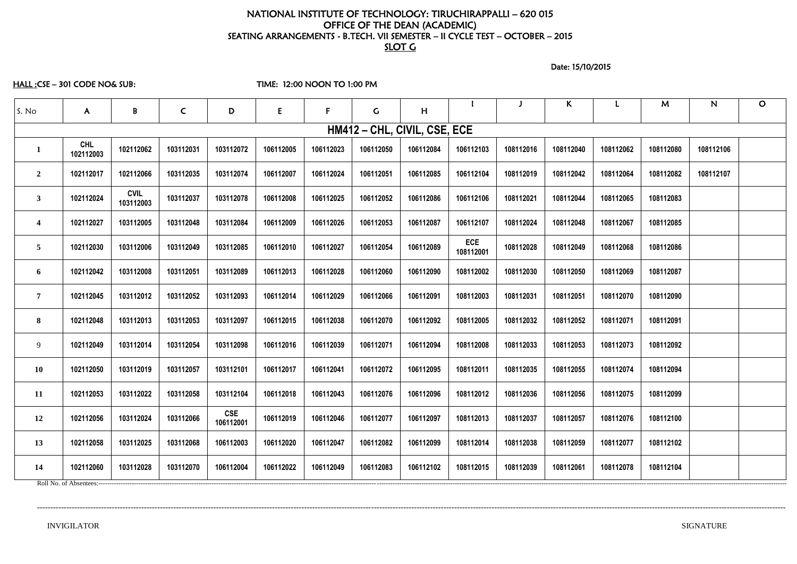# NATIONAL INSTITUTE OF TECHNOLOGY: TIRUCHIRAPPALLI – 620 015 OFFICE OF THE DEAN (ACADEMIC) SEATING ARRANGEMENTS - B.TECH. VII SEMESTER – II CYCLE TEST – OCTOBER – 2015 SLOT G

Date: 15/10/2015

HALL :CSE – 301 CODE NO& SUB: TIME: 12:00 NOON TO 1:00 PM

| S. No                   | A.                      | $\pmb B$                 | $\mathsf{C}$ | D                       | E         | F         | $\mathsf{C}$                 | H         |                         |           | K         |           | M         | N         | $\mathbf O$ |
|-------------------------|-------------------------|--------------------------|--------------|-------------------------|-----------|-----------|------------------------------|-----------|-------------------------|-----------|-----------|-----------|-----------|-----------|-------------|
|                         |                         |                          |              |                         |           |           | HM412 - CHL, CIVIL, CSE, ECE |           |                         |           |           |           |           |           |             |
| $\mathbf{1}$            | <b>CHL</b><br>102112003 | 102112062                | 103112031    | 103112072               | 106112005 | 106112023 | 106112050                    | 106112084 | 106112103               | 108112016 | 108112040 | 108112062 | 108112080 | 108112106 |             |
| $\overline{2}$          | 102112017               | 102112066                | 103112035    | 103112074               | 106112007 | 106112024 | 106112051                    | 106112085 | 106112104               | 108112019 | 108112042 | 108112064 | 108112082 | 108112107 |             |
| 3 <sup>1</sup>          | 102112024               | <b>CVIL</b><br>103112003 | 103112037    | 103112078               | 106112008 | 106112025 | 106112052                    | 106112086 | 106112106               | 108112021 | 108112044 | 108112065 | 108112083 |           |             |
| $\overline{\mathbf{4}}$ | 102112027               | 103112005                | 103112048    | 103112084               | 106112009 | 106112026 | 106112053                    | 106112087 | 106112107               | 108112024 | 108112048 | 108112067 | 108112085 |           |             |
| 5 <sub>5</sub>          | 102112030               | 103112006                | 103112049    | 103112085               | 106112010 | 106112027 | 106112054                    | 106112089 | <b>ECE</b><br>108112001 | 108112028 | 108112049 | 108112068 | 108112086 |           |             |
| 6                       | 102112042               | 103112008                | 103112051    | 103112089               | 106112013 | 106112028 | 106112060                    | 106112090 | 108112002               | 108112030 | 108112050 | 108112069 | 108112087 |           |             |
| $\overline{7}$          | 102112045               | 103112012                | 103112052    | 103112093               | 106112014 | 106112029 | 106112066                    | 106112091 | 108112003               | 108112031 | 108112051 | 108112070 | 108112090 |           |             |
| 8                       | 102112048               | 103112013                | 103112053    | 103112097               | 106112015 | 106112038 | 106112070                    | 106112092 | 108112005               | 108112032 | 108112052 | 108112071 | 108112091 |           |             |
| 9                       | 102112049               | 103112014                | 103112054    | 103112098               | 106112016 | 106112039 | 106112071                    | 106112094 | 108112008               | 108112033 | 108112053 | 108112073 | 108112092 |           |             |
| <b>10</b>               | 102112050               | 103112019                | 103112057    | 103112101               | 106112017 | 106112041 | 106112072                    | 106112095 | 108112011               | 108112035 | 108112055 | 108112074 | 108112094 |           |             |
| <b>11</b>               | 102112053               | 103112022                | 103112058    | 103112104               | 106112018 | 106112043 | 106112076                    | 106112096 | 108112012               | 108112036 | 108112056 | 108112075 | 108112099 |           |             |
| 12                      | 102112056               | 103112024                | 103112066    | <b>CSE</b><br>106112001 | 106112019 | 106112046 | 106112077                    | 106112097 | 108112013               | 108112037 | 108112057 | 108112076 | 108112100 |           |             |
| 13                      | 102112058               | 103112025                | 103112068    | 106112003               | 106112020 | 106112047 | 106112082                    | 106112099 | 108112014               | 108112038 | 108112059 | 108112077 | 108112102 |           |             |
| 14                      | 102112060               | 103112028                | 103112070    | 106112004               | 106112022 | 106112049 | 106112083                    | 106112102 | 108112015               | 108112039 | 108112061 | 108112078 | 108112104 |           |             |
|                         |                         |                          |              |                         |           |           |                              |           |                         |           |           |           |           |           |             |

----------------------------------------------------------------------------------------------------------------------------------------------------------------------------------------------------------------------------------------------------------------------------------------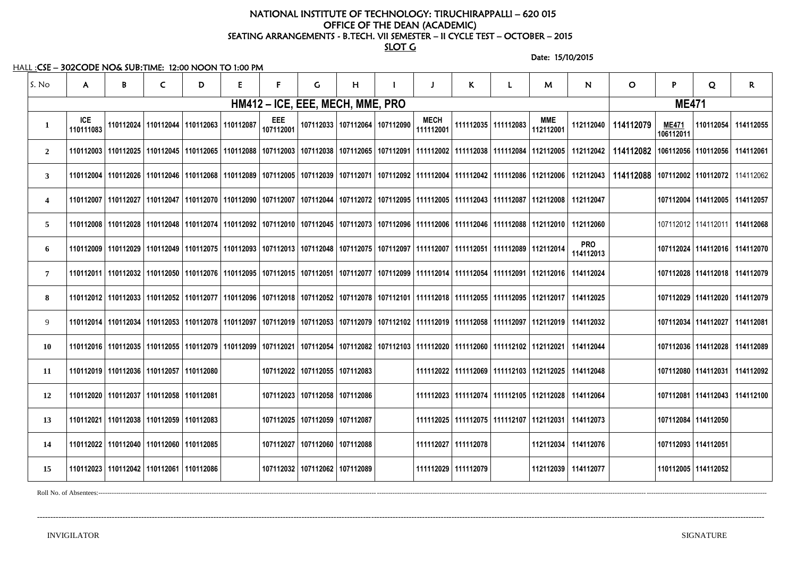# NATIONAL INSTITUTE OF TECHNOLOGY: TIRUCHIRAPPALLI – 620 015 OFFICE OF THE DEAN (ACADEMIC) SEATING ARRANGEMENTS - B.TECH. VII SEMESTER – II CYCLE TEST – OCTOBER – 2015

SLOT G

Date: 15/10/2015

| HALL: CSE - 302CODE NO& SUB: TIME: 12:00 NOON TO 1:00 PM |  |
|----------------------------------------------------------|--|
|----------------------------------------------------------|--|

# **<sup>112112001</sup> <sup>112112040</sup> 114112079 ME471 106112011 110112054 114112055** 42 | 114112082 |106112056 |110112056 | 114112061 **3 110112004 110112026 110112046 110112068 110112089 107112005 107112039 107112071 107112092 111112004 111112042 111112086 112112006 112112043 114112088 107112002 110112072** 114112062 47 | 107112004 | 114112005 | 114112057 60 | | 107112012 | 114112011 | 114112068 **<sup>114112013</sup> <sup>107112024</sup> <sup>114112016</sup> <sup>114112070</sup>** 24 | 107112028 | 114112018 | 114112079 **8 110112012 110112033 110112052 110112077 110112096 107112018 107112052 107112078 107112101 111112018 111112055 111112095 112112017 114112025 107112029 114112020 114112079** 9 **110112014 110112034 110112053 110112078 110112097 107112019 107112053 107112079 107112102 111112019 111112058 111112097 112112019 114112032 107112034 114112027 114112081** 44 | 107112036 | 114112028 | 114112089 48 | | 107112080 | 114112031 | 114112092 64 | 107112081 | 114112043 | 114112100 73 | 107112084 | 114112050

| S. No            | $\mathsf{A}$            | B                                                                                                                                                                                             | $\mathsf{C}$ | D | E                                             |                                   | G                                 | H |                                   |                          | K                     |                       | M                       | N                                                                                                                                                                     | $\mathbf{O}$                               | P                         | Q                              | R      |
|------------------|-------------------------|-----------------------------------------------------------------------------------------------------------------------------------------------------------------------------------------------|--------------|---|-----------------------------------------------|-----------------------------------|-----------------------------------|---|-----------------------------------|--------------------------|-----------------------|-----------------------|-------------------------|-----------------------------------------------------------------------------------------------------------------------------------------------------------------------|--------------------------------------------|---------------------------|--------------------------------|--------|
|                  |                         |                                                                                                                                                                                               |              |   |                                               | HM412 – ICE, EEE, MECH, MME, PRO  |                                   |   |                                   |                          |                       |                       |                         |                                                                                                                                                                       |                                            | <b>ME471</b>              |                                |        |
| $\mathbf 1$      | <b>ICE</b><br>110111083 |                                                                                                                                                                                               |              |   | 110112024   110112044   110112063   110112087 | EEE<br>107112001                  |                                   |   | 107112033   107112064   107112090 | <b>MECH</b><br>111112001 |                       | 111112035   111112083 | <b>MME</b><br>112112001 | 112112040                                                                                                                                                             | 114112079                                  | <b>ME471</b><br>106112011 | 110112054                      | 114112 |
| $\overline{2}$   |                         |                                                                                                                                                                                               |              |   |                                               |                                   |                                   |   |                                   |                          |                       |                       |                         | 110112025   110112025   110112045   110112065   110112088   107112003   107112038   107112065   107112091   111112002   111112038   111112084   112112005   112112042 | 114112082   106112056   110112056   114112 |                           |                                |        |
| 3 <sup>1</sup>   |                         |                                                                                                                                                                                               |              |   |                                               |                                   |                                   |   |                                   |                          |                       |                       |                         | 110112026   110112046   110112068   110112068   10112089   107112005   107112039   107112071   107112092   111112004   111112042   111112086   112112006   112112043  | 114112088   107112002   110112072          |                           |                                | 114112 |
| $\boldsymbol{4}$ |                         | 110112027   110112047   110112047   110112070   110112090   107112007   107112044   107112072   107112095   111112005   111112043   111112087   112112008                                     |              |   |                                               |                                   |                                   |   |                                   |                          |                       |                       |                         | 112112047                                                                                                                                                             |                                            |                           | 107112004   114112005   114112 |        |
| 5                |                         | 110112028   110112048   110112048   110112074   110112092   107112010   107112045   107112073   107112096   111112006   111112046   111112088   112112010   110112046   111112088   112112010 |              |   |                                               |                                   |                                   |   |                                   |                          |                       |                       |                         | 112112060                                                                                                                                                             |                                            |                           | 107112012   114112011          | 114112 |
| 6                |                         | 110112029   110112049   110112075   110112093   107112013   107112048   107112075   107112097   111112007   111112051   111112089   112112014                                                 |              |   |                                               |                                   |                                   |   |                                   |                          |                       |                       |                         | <b>PRO</b><br>114112013                                                                                                                                               |                                            |                           | 107112024   114112016   114112 |        |
| $\overline{7}$   |                         | 110112032   110112032   110112050   110112076   110112095   107112015   107112051   107112077   107112099   111112014   111112054   111112091   112112016   114112024                         |              |   |                                               |                                   |                                   |   |                                   |                          |                       |                       |                         |                                                                                                                                                                       |                                            |                           | 107112028   114112018   114112 |        |
| 8                |                         | 110112033   110112052   110112077   110112096   107112018   107112052   107112078   107112101   11112018   111112055   111112095   112112017                                                  |              |   |                                               |                                   |                                   |   |                                   |                          |                       |                       |                         | 114112025                                                                                                                                                             |                                            |                           | 107112029   114112020          | 114112 |
| 9                |                         | 110112034   110112053   110112078   110112097   107112019   107112053   107112079   107112102   111112019   111112058   111112097   112112019   112112019   1                                 |              |   |                                               |                                   |                                   |   |                                   |                          |                       |                       |                         | 114112032                                                                                                                                                             |                                            |                           | 107112034   114112027          | 114112 |
| <b>10</b>        |                         | 110112035   110112055   110112079   110112099   107112021   107112054   107112082   107112103   111112020   111112060   111112102   112112021                                                 |              |   |                                               |                                   |                                   |   |                                   |                          |                       |                       |                         | 114112044                                                                                                                                                             |                                            |                           | 107112036   114112028          | 114112 |
| <b>11</b>        |                         | 110112019   110112036   110112057   110112080                                                                                                                                                 |              |   |                                               | 107112022   107112055   107112083 |                                   |   |                                   |                          |                       |                       |                         | 111112022   111112069   111112103   112112025   114112048                                                                                                             |                                            |                           | 107112080   114112031   114112 |        |
| 12               |                         | 110112020   110112037   110112058   110112081                                                                                                                                                 |              |   |                                               |                                   | 107112023   107112058   107112086 |   |                                   |                          |                       |                       |                         | 111112023   111112074   111112105   112112028    114112064                                                                                                            |                                            |                           | 107112081   114112043   114112 |        |
| 13               |                         | 110112021   110112038   110112059   110112083                                                                                                                                                 |              |   |                                               |                                   | 107112025   107112059   107112087 |   |                                   |                          |                       |                       |                         | 111112025   111112075   111112107   112112031   114112073                                                                                                             |                                            |                           | 107112084   114112050          |        |
| 14               |                         | 110112022   110112040   110112060   110112085                                                                                                                                                 |              |   |                                               |                                   | 107112027   107112060   107112088 |   |                                   |                          | 111112027   111112078 |                       |                         | 112112034 114112076                                                                                                                                                   |                                            |                           | 107112093   114112051          |        |
| 15               |                         | 110112023   110112042   110112061   110112086                                                                                                                                                 |              |   |                                               |                                   | 107112032   107112062   107112089 |   |                                   |                          | 111112029   111112079 |                       |                         | 112112039   114112077                                                                                                                                                 |                                            |                           | 110112005   114112052          |        |

Roll No. of Absentees:---------------------------

--------------------------------------------------------------------------------------------------------------------------------------------------------------------------------------------------------------------------------------------------------------------------------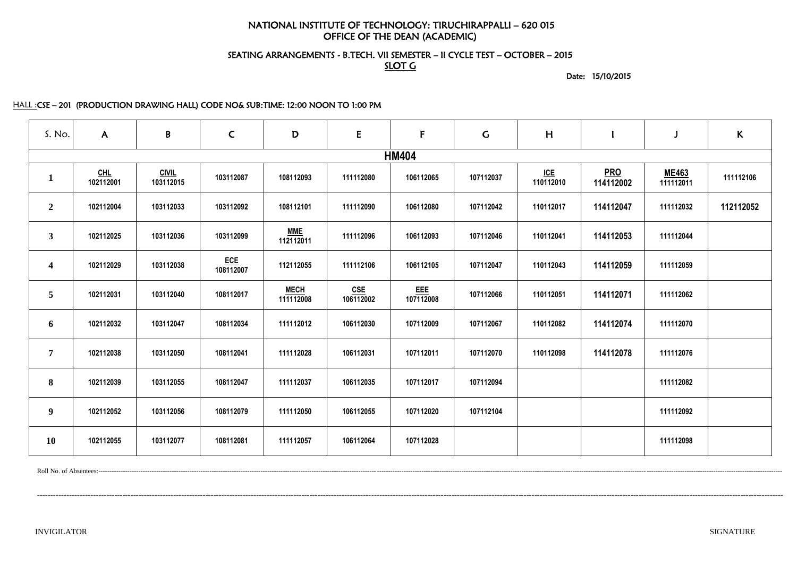# NATIONAL INSTITUTE OF TECHNOLOGY: TIRUCHIRAPPALLI – 620 015 OFFICE OF THE DEAN (ACADEMIC)

SEATING ARRANGEMENTS - B.TECH. VII SEMESTER – II CYCLE TEST – OCTOBER – 2015 SLOT G

Date: 15/10/2015

## HALL :CSE – 201 (PRODUCTION DRAWING HALL) CODE NO& SUB:TIME: 12:00 NOON TO 1:00 PM

| S. No.           | $\mathsf{A}$                            | $\mathsf B$               | $\mathsf{C}$            | D                        | E                              | $\mathsf{F}$            | $\mathsf{G}$ | H                |                         |                           | $\mathsf{K}$ |
|------------------|-----------------------------------------|---------------------------|-------------------------|--------------------------|--------------------------------|-------------------------|--------------|------------------|-------------------------|---------------------------|--------------|
|                  |                                         |                           |                         |                          |                                | <b>HM404</b>            |              |                  |                         |                           |              |
| $\mathbf{1}$     | $\underline{\textsf{CHL}}$<br>102112001 | <b>CIVIL</b><br>103112015 | 103112087               | 108112093                | 111112080                      | 106112065               | 107112037    | ICE<br>110112010 | <b>PRO</b><br>114112002 | <b>ME463</b><br>111112011 | 111112106    |
| $\overline{2}$   | 102112004                               | 103112033                 | 103112092               | 108112101                | 111112090                      | 106112080               | 107112042    | 110112017        | 114112047               | 111112032                 | 112112052    |
| 3 <sup>1</sup>   | 102112025                               | 103112036                 | 103112099               | <b>MME</b><br>112112011  | 111112096                      | 106112093               | 107112046    | 110112041        | 114112053               | 111112044                 |              |
| $\boldsymbol{4}$ | 102112029                               | 103112038                 | <b>ECE</b><br>108112007 | 112112055                | 111112106                      | 106112105               | 107112047    | 110112043        | 114112059               | 111112059                 |              |
| $\overline{5}$   | 102112031                               | 103112040                 | 108112017               | <b>MECH</b><br>111112008 | $\frac{\text{CSE}}{106112002}$ | <b>EEE</b><br>107112008 | 107112066    | 110112051        | 114112071               | 111112062                 |              |
| 6                | 102112032                               | 103112047                 | 108112034               | 111112012                | 106112030                      | 107112009               | 107112067    | 110112082        | 114112074               | 111112070                 |              |
| $\overline{7}$   | 102112038                               | 103112050                 | 108112041               | 111112028                | 106112031                      | 107112011               | 107112070    | 110112098        | 114112078               | 111112076                 |              |
| 8                | 102112039                               | 103112055                 | 108112047               | 111112037                | 106112035                      | 107112017               | 107112094    |                  |                         | 111112082                 |              |
| 9                | 102112052                               | 103112056                 | 108112079               | 111112050                | 106112055                      | 107112020               | 107112104    |                  |                         | 111112092                 |              |
| <b>10</b>        | 102112055                               | 103112077                 | 108112081               | 111112057                | 106112064                      | 107112028               |              |                  |                         | 111112098                 |              |

Roll No. of Absentees:-------------------------------------------------------------------------------------------------------------------------------------------------------------------------------------------------------------------------------------------------------------------------------------------------------------------

---------------------------------------------------------------------------------------------------------------------------------------------------------------------------------------------------------------------------------------------------------------------------------------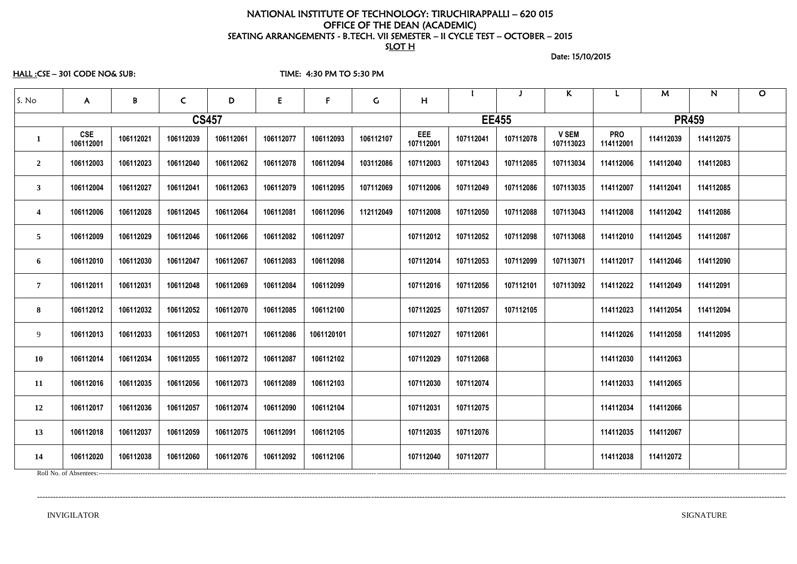# NATIONAL INSTITUTE OF TECHNOLOGY: TIRUCHIRAPPALLI – 620 015 OFFICE OF THE DEAN (ACADEMIC) SEATING ARRANGEMENTS - B.TECH. VII SEMESTER – II CYCLE TEST – OCTOBER – 2015 SLOT<sub>H</sub>

Date: 15/10/2015

HALL :CSE – 301 CODE NO& SUB: TIME: 4:30 PM TO 5:30 PM

| S. No                   | $\mathsf{A}$            | B         | $\mathsf{C}$ | D            | E         | $\mathsf{F}$ | $\mathsf{G}$ | H                |              |           | $\mathsf{K}$              |                         | M            | N         | $\mathbf O$ |
|-------------------------|-------------------------|-----------|--------------|--------------|-----------|--------------|--------------|------------------|--------------|-----------|---------------------------|-------------------------|--------------|-----------|-------------|
|                         |                         |           |              | <b>CS457</b> |           |              |              |                  | <b>EE455</b> |           |                           |                         | <b>PR459</b> |           |             |
| $\mathbf 1$             | <b>CSE</b><br>106112001 | 106112021 | 106112039    | 106112061    | 106112077 | 106112093    | 106112107    | EEE<br>107112001 | 107112041    | 107112078 | <b>V SEM</b><br>107113023 | <b>PRO</b><br>114112001 | 114112039    | 114112075 |             |
| $\overline{2}$          | 106112003               | 106112023 | 106112040    | 106112062    | 106112078 | 106112094    | 103112086    | 107112003        | 107112043    | 107112085 | 107113034                 | 114112006               | 114112040    | 114112083 |             |
| $\mathbf{3}$            | 106112004               | 106112027 | 106112041    | 106112063    | 106112079 | 106112095    | 107112069    | 107112006        | 107112049    | 107112086 | 107113035                 | 114112007               | 114112041    | 114112085 |             |
| $\overline{\mathbf{4}}$ | 106112006               | 106112028 | 106112045    | 106112064    | 106112081 | 106112096    | 112112049    | 107112008        | 107112050    | 107112088 | 107113043                 | 114112008               | 114112042    | 114112086 |             |
| $5\overline{)}$         | 106112009               | 106112029 | 106112046    | 106112066    | 106112082 | 106112097    |              | 107112012        | 107112052    | 107112098 | 107113068                 | 114112010               | 114112045    | 114112087 |             |
| 6                       | 106112010               | 106112030 | 106112047    | 106112067    | 106112083 | 106112098    |              | 107112014        | 107112053    | 107112099 | 107113071                 | 114112017               | 114112046    | 114112090 |             |
| $\overline{7}$          | 106112011               | 106112031 | 106112048    | 106112069    | 106112084 | 106112099    |              | 107112016        | 107112056    | 107112101 | 107113092                 | 114112022               | 114112049    | 114112091 |             |
| 8                       | 106112012               | 106112032 | 106112052    | 106112070    | 106112085 | 106112100    |              | 107112025        | 107112057    | 107112105 |                           | 114112023               | 114112054    | 114112094 |             |
| 9                       | 106112013               | 106112033 | 106112053    | 106112071    | 106112086 | 1061120101   |              | 107112027        | 107112061    |           |                           | 114112026               | 114112058    | 114112095 |             |
| <b>10</b>               | 106112014               | 106112034 | 106112055    | 106112072    | 106112087 | 106112102    |              | 107112029        | 107112068    |           |                           | 114112030               | 114112063    |           |             |
| 11                      | 106112016               | 106112035 | 106112056    | 106112073    | 106112089 | 106112103    |              | 107112030        | 107112074    |           |                           | 114112033               | 114112065    |           |             |
| 12                      | 106112017               | 106112036 | 106112057    | 106112074    | 106112090 | 106112104    |              | 107112031        | 107112075    |           |                           | 114112034               | 114112066    |           |             |
| 13                      | 106112018               | 106112037 | 106112059    | 106112075    | 106112091 | 106112105    |              | 107112035        | 107112076    |           |                           | 114112035               | 114112067    |           |             |
| 14                      | 106112020               | 106112038 | 106112060    | 106112076    | 106112092 | 106112106    |              | 107112040        | 107112077    |           |                           | 114112038               | 114112072    |           |             |
|                         |                         |           |              |              |           |              |              |                  |              |           |                           |                         |              |           |             |

----------------------------------------------------------------------------------------------------------------------------------------------------------------------------------------------------------------------------------------------------------------------------------------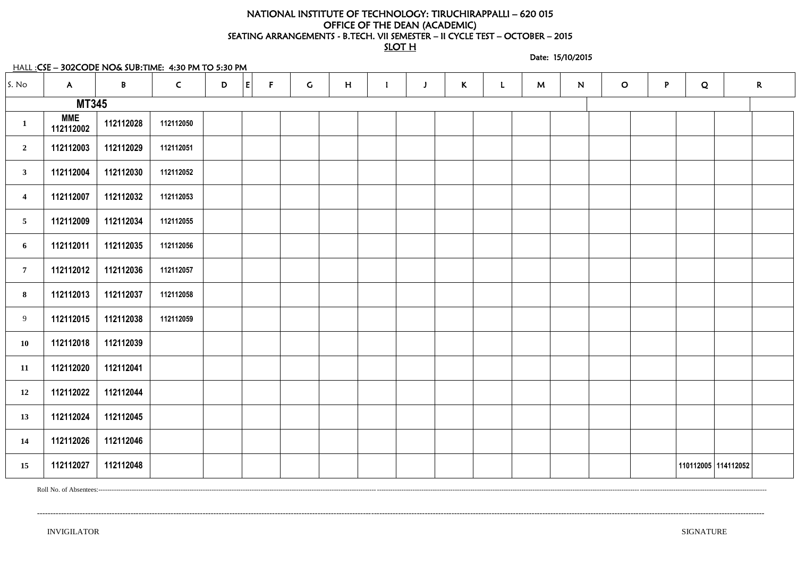# NATIONAL INSTITUTE OF TECHNOLOGY: TIRUCHIRAPPALLI – 620 015 OFFICE OF THE DEAN (ACADEMIC) SEATING ARRANGEMENTS - B.TECH. VII SEMESTER – II CYCLE TEST – OCTOBER – 2015

SLOT H

Date: 15/10/2015

|                         |                         | HALL: CSE - 302CODE NO& SUB: TIME: 4:30 PM TO 5:30 PM |              |   |                    |             |   |   |   |    |   |   |              |   |   |                       |              |
|-------------------------|-------------------------|-------------------------------------------------------|--------------|---|--------------------|-------------|---|---|---|----|---|---|--------------|---|---|-----------------------|--------------|
| S. No                   | $\mathsf{A}$            | $\mathsf{B}$                                          | $\mathsf{C}$ | D | E <br>$\mathsf{F}$ | $\mathsf C$ | H | J | K | L. | M | N | $\mathsf{O}$ | P | Q |                       | $\mathsf{R}$ |
|                         | <b>MT345</b>            |                                                       |              |   |                    |             |   |   |   |    |   |   |              |   |   |                       |              |
| $\mathbf{1}$            | <b>MME</b><br>112112002 | 112112028                                             | 112112050    |   |                    |             |   |   |   |    |   |   |              |   |   |                       |              |
| $\overline{2}$          | 112112003               | 112112029                                             | 112112051    |   |                    |             |   |   |   |    |   |   |              |   |   |                       |              |
| $\mathbf{3}$            | 112112004               | 112112030                                             | 112112052    |   |                    |             |   |   |   |    |   |   |              |   |   |                       |              |
| $\overline{\mathbf{4}}$ | 112112007               | 112112032                                             | 112112053    |   |                    |             |   |   |   |    |   |   |              |   |   |                       |              |
| $\overline{5}$          | 112112009               | 112112034                                             | 112112055    |   |                    |             |   |   |   |    |   |   |              |   |   |                       |              |
| 6                       | 112112011               | 112112035                                             | 112112056    |   |                    |             |   |   |   |    |   |   |              |   |   |                       |              |
| $\overline{7}$          | 112112012               | 112112036                                             | 112112057    |   |                    |             |   |   |   |    |   |   |              |   |   |                       |              |
| 8                       | 112112013               | 112112037                                             | 112112058    |   |                    |             |   |   |   |    |   |   |              |   |   |                       |              |
| 9                       | 112112015               | 112112038                                             | 112112059    |   |                    |             |   |   |   |    |   |   |              |   |   |                       |              |
| <b>10</b>               | 112112018               | 112112039                                             |              |   |                    |             |   |   |   |    |   |   |              |   |   |                       |              |
| 11                      | 112112020               | 112112041                                             |              |   |                    |             |   |   |   |    |   |   |              |   |   |                       |              |
| <b>12</b>               | 112112022               | 112112044                                             |              |   |                    |             |   |   |   |    |   |   |              |   |   |                       |              |
| 13                      | 112112024               | 112112045                                             |              |   |                    |             |   |   |   |    |   |   |              |   |   |                       |              |
| 14                      | 112112026               | 112112046                                             |              |   |                    |             |   |   |   |    |   |   |              |   |   |                       |              |
| 15                      | 112112027               | 112112048                                             |              |   |                    |             |   |   |   |    |   |   |              |   |   | 110112005   114112052 |              |

Roll No. of Absentees:------------------------------------------------------------------------------------------------------------------------------------------------------------------------------------------------------------------------------------------------------------------------------------------------------------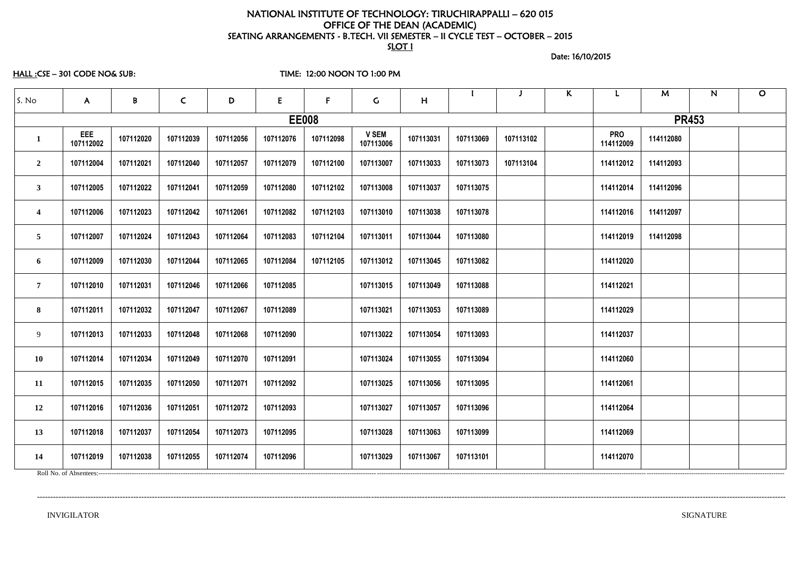# NATIONAL INSTITUTE OF TECHNOLOGY: TIRUCHIRAPPALLI – 620 015 OFFICE OF THE DEAN (ACADEMIC) SEATING ARRANGEMENTS - B.TECH. VII SEMESTER – II CYCLE TEST – OCTOBER – 2015 SLOT I

Date: 16/10/2015

HALL :CSE – 301 CODE NO& SUB: TIME: 12:00 NOON TO 1:00 PM

| S. No                   | $\mathsf{A}$     | B         | $\mathsf{C}$ | D         | E         | F            | $\mathsf C$               | H         |           |           | $\mathsf{K}$ | L                       | M         | N            | $\mathbf O$ |
|-------------------------|------------------|-----------|--------------|-----------|-----------|--------------|---------------------------|-----------|-----------|-----------|--------------|-------------------------|-----------|--------------|-------------|
|                         |                  |           |              |           |           | <b>EE008</b> |                           |           |           |           |              |                         |           | <b>PR453</b> |             |
| $\mathbf{1}$            | EEE<br>107112002 | 107112020 | 107112039    | 107112056 | 107112076 | 107112098    | <b>V SEM</b><br>107113006 | 107113031 | 107113069 | 107113102 |              | <b>PRO</b><br>114112009 | 114112080 |              |             |
| $\overline{2}$          | 107112004        | 107112021 | 107112040    | 107112057 | 107112079 | 107112100    | 107113007                 | 107113033 | 107113073 | 107113104 |              | 114112012               | 114112093 |              |             |
| $\mathbf{3}$            | 107112005        | 107112022 | 107112041    | 107112059 | 107112080 | 107112102    | 107113008                 | 107113037 | 107113075 |           |              | 114112014               | 114112096 |              |             |
| $\overline{\mathbf{4}}$ | 107112006        | 107112023 | 107112042    | 107112061 | 107112082 | 107112103    | 107113010                 | 107113038 | 107113078 |           |              | 114112016               | 114112097 |              |             |
| $5\overline{)}$         | 107112007        | 107112024 | 107112043    | 107112064 | 107112083 | 107112104    | 107113011                 | 107113044 | 107113080 |           |              | 114112019               | 114112098 |              |             |
| 6                       | 107112009        | 107112030 | 107112044    | 107112065 | 107112084 | 107112105    | 107113012                 | 107113045 | 107113082 |           |              | 114112020               |           |              |             |
| $7\phantom{.}$          | 107112010        | 107112031 | 107112046    | 107112066 | 107112085 |              | 107113015                 | 107113049 | 107113088 |           |              | 114112021               |           |              |             |
| 8                       | 107112011        | 107112032 | 107112047    | 107112067 | 107112089 |              | 107113021                 | 107113053 | 107113089 |           |              | 114112029               |           |              |             |
| 9                       | 107112013        | 107112033 | 107112048    | 107112068 | 107112090 |              | 107113022                 | 107113054 | 107113093 |           |              | 114112037               |           |              |             |
| <b>10</b>               | 107112014        | 107112034 | 107112049    | 107112070 | 107112091 |              | 107113024                 | 107113055 | 107113094 |           |              | 114112060               |           |              |             |
| 11                      | 107112015        | 107112035 | 107112050    | 107112071 | 107112092 |              | 107113025                 | 107113056 | 107113095 |           |              | 114112061               |           |              |             |
| 12                      | 107112016        | 107112036 | 107112051    | 107112072 | 107112093 |              | 107113027                 | 107113057 | 107113096 |           |              | 114112064               |           |              |             |
| 13                      | 107112018        | 107112037 | 107112054    | 107112073 | 107112095 |              | 107113028                 | 107113063 | 107113099 |           |              | 114112069               |           |              |             |
| 14                      | 107112019        | 107112038 | 107112055    | 107112074 | 107112096 |              | 107113029                 | 107113067 | 107113101 |           |              | 114112070               |           |              |             |
|                         |                  |           |              |           |           |              |                           |           |           |           |              |                         |           |              |             |

----------------------------------------------------------------------------------------------------------------------------------------------------------------------------------------------------------------------------------------------------------------------------------------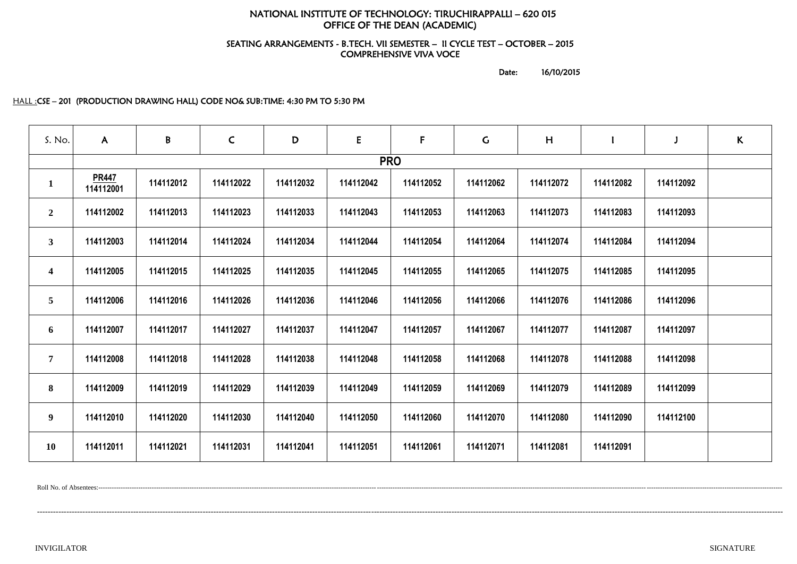# NATIONAL INSTITUTE OF TECHNOLOGY: TIRUCHIRAPPALLI – 620 015 OFFICE OF THE DEAN (ACADEMIC)

# SEATING ARRANGEMENTS - B.TECH. VII SEMESTER – II CYCLE TEST – OCTOBER – 2015 COMPREHENSIVE VIVA VOCE

Date: 16/10/2015

# HALL :CSE – 201 (PRODUCTION DRAWING HALL) CODE NO& SUB:TIME: 4:30 PM TO 5:30 PM

| S. No.                  | $\mathsf{A}$              | B         | $\mathsf{C}$ | D         | E         | $\mathsf{F}$ | $\mathsf C$ | H         |           |           | K |
|-------------------------|---------------------------|-----------|--------------|-----------|-----------|--------------|-------------|-----------|-----------|-----------|---|
|                         |                           |           |              |           |           | <b>PRO</b>   |             |           |           |           |   |
| $\mathbf{1}$            | <b>PR447</b><br>114112001 | 114112012 | 114112022    | 114112032 | 114112042 | 114112052    | 114112062   | 114112072 | 114112082 | 114112092 |   |
| $\boldsymbol{2}$        | 114112002                 | 114112013 | 114112023    | 114112033 | 114112043 | 114112053    | 114112063   | 114112073 | 114112083 | 114112093 |   |
| $3^{\circ}$             | 114112003                 | 114112014 | 114112024    | 114112034 | 114112044 | 114112054    | 114112064   | 114112074 | 114112084 | 114112094 |   |
| $\overline{\mathbf{4}}$ | 114112005                 | 114112015 | 114112025    | 114112035 | 114112045 | 114112055    | 114112065   | 114112075 | 114112085 | 114112095 |   |
| $5\overline{)}$         | 114112006                 | 114112016 | 114112026    | 114112036 | 114112046 | 114112056    | 114112066   | 114112076 | 114112086 | 114112096 |   |
| 6                       | 114112007                 | 114112017 | 114112027    | 114112037 | 114112047 | 114112057    | 114112067   | 114112077 | 114112087 | 114112097 |   |
| $\overline{7}$          | 114112008                 | 114112018 | 114112028    | 114112038 | 114112048 | 114112058    | 114112068   | 114112078 | 114112088 | 114112098 |   |
| 8                       | 114112009                 | 114112019 | 114112029    | 114112039 | 114112049 | 114112059    | 114112069   | 114112079 | 114112089 | 114112099 |   |
| 9                       | 114112010                 | 114112020 | 114112030    | 114112040 | 114112050 | 114112060    | 114112070   | 114112080 | 114112090 | 114112100 |   |
| <b>10</b>               | 114112011                 | 114112021 | 114112031    | 114112041 | 114112051 | 114112061    | 114112071   | 114112081 | 114112091 |           |   |

Roll No. of Absentees:-------------------------------------------------------------------------------------------------------------------------------------------------------------------------------------------------------------------------------------------------------------------------------------------------------------------

---------------------------------------------------------------------------------------------------------------------------------------------------------------------------------------------------------------------------------------------------------------------------------------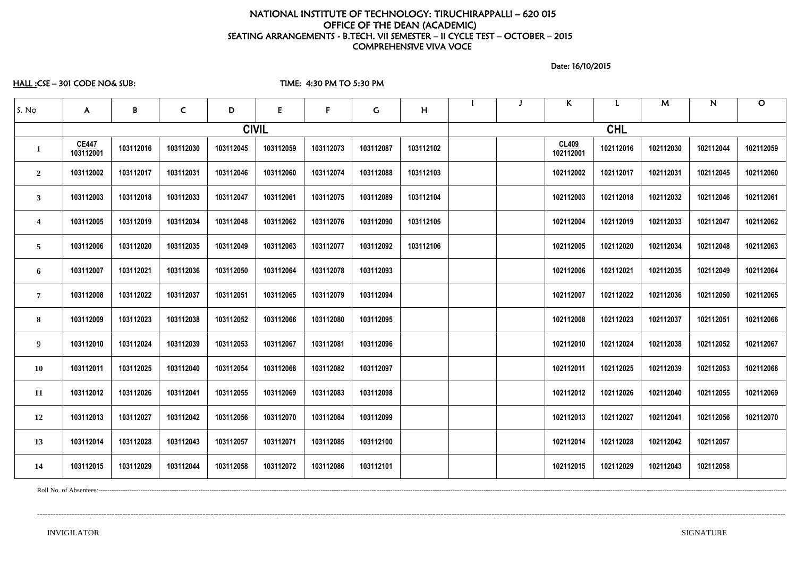# NATIONAL INSTITUTE OF TECHNOLOGY: TIRUCHIRAPPALLI – 620 015 OFFICE OF THE DEAN (ACADEMIC) SEATING ARRANGEMENTS - B.TECH. VII SEMESTER – II CYCLE TEST – OCTOBER – 2015 COMPREHENSIVE VIVA VOCE

Date: 16/10/2015

HALL :CSE – 301 CODE NO& SUB: TIME: 4:30 PM TO 5:30 PM

| S. No                   | $\mathsf{A}$              | B         | $\mathsf{C}$ | D         | ${\sf E}$    | F         | $\mathsf C$ | H         |  | $\kappa$           | L         | M         | $\mathbb{N}$ | $\mathbf O$ |
|-------------------------|---------------------------|-----------|--------------|-----------|--------------|-----------|-------------|-----------|--|--------------------|-----------|-----------|--------------|-------------|
|                         |                           |           |              |           | <b>CIVIL</b> |           |             |           |  | <b>CHL</b>         |           |           |              |             |
| $\mathbf 1$             | <b>CE447</b><br>103112001 | 103112016 | 103112030    | 103112045 | 103112059    | 103112073 | 103112087   | 103112102 |  | CL409<br>102112001 | 102112016 | 102112030 | 102112044    | 102112059   |
| $\overline{2}$          | 103112002                 | 103112017 | 103112031    | 103112046 | 103112060    | 103112074 | 103112088   | 103112103 |  | 102112002          | 102112017 | 102112031 | 102112045    | 102112060   |
| $\mathbf{3}$            | 103112003                 | 103112018 | 103112033    | 103112047 | 103112061    | 103112075 | 103112089   | 103112104 |  | 102112003          | 102112018 | 102112032 | 102112046    | 102112061   |
| $\overline{\mathbf{4}}$ | 103112005                 | 103112019 | 103112034    | 103112048 | 103112062    | 103112076 | 103112090   | 103112105 |  | 102112004          | 102112019 | 102112033 | 102112047    | 102112062   |
| $\overline{5}$          | 103112006                 | 103112020 | 103112035    | 103112049 | 103112063    | 103112077 | 103112092   | 103112106 |  | 102112005          | 102112020 | 102112034 | 102112048    | 102112063   |
| 6                       | 103112007                 | 103112021 | 103112036    | 103112050 | 103112064    | 103112078 | 103112093   |           |  | 102112006          | 102112021 | 102112035 | 102112049    | 102112064   |
| $\overline{7}$          | 103112008                 | 103112022 | 103112037    | 103112051 | 103112065    | 103112079 | 103112094   |           |  | 102112007          | 102112022 | 102112036 | 102112050    | 102112065   |
| 8                       | 103112009                 | 103112023 | 103112038    | 103112052 | 103112066    | 103112080 | 103112095   |           |  | 102112008          | 102112023 | 102112037 | 102112051    | 102112066   |
| 9                       | 103112010                 | 103112024 | 103112039    | 103112053 | 103112067    | 103112081 | 103112096   |           |  | 102112010          | 102112024 | 102112038 | 102112052    | 102112067   |
| 10                      | 103112011                 | 103112025 | 103112040    | 103112054 | 103112068    | 103112082 | 103112097   |           |  | 102112011          | 102112025 | 102112039 | 102112053    | 102112068   |
| 11                      | 103112012                 | 103112026 | 103112041    | 103112055 | 103112069    | 103112083 | 103112098   |           |  | 102112012          | 102112026 | 102112040 | 102112055    | 102112069   |
| 12                      | 103112013                 | 103112027 | 103112042    | 103112056 | 103112070    | 103112084 | 103112099   |           |  | 102112013          | 102112027 | 102112041 | 102112056    | 102112070   |
| 13                      | 103112014                 | 103112028 | 103112043    | 103112057 | 103112071    | 103112085 | 103112100   |           |  | 102112014          | 102112028 | 102112042 | 102112057    |             |
| 14                      | 103112015                 | 103112029 | 103112044    | 103112058 | 103112072    | 103112086 | 103112101   |           |  | 102112015          | 102112029 | 102112043 | 102112058    |             |
|                         |                           |           |              |           |              |           |             |           |  |                    |           |           |              |             |

----------------------------------------------------------------------------------------------------------------------------------------------------------------------------------------------------------------------------------------------------------------------------------------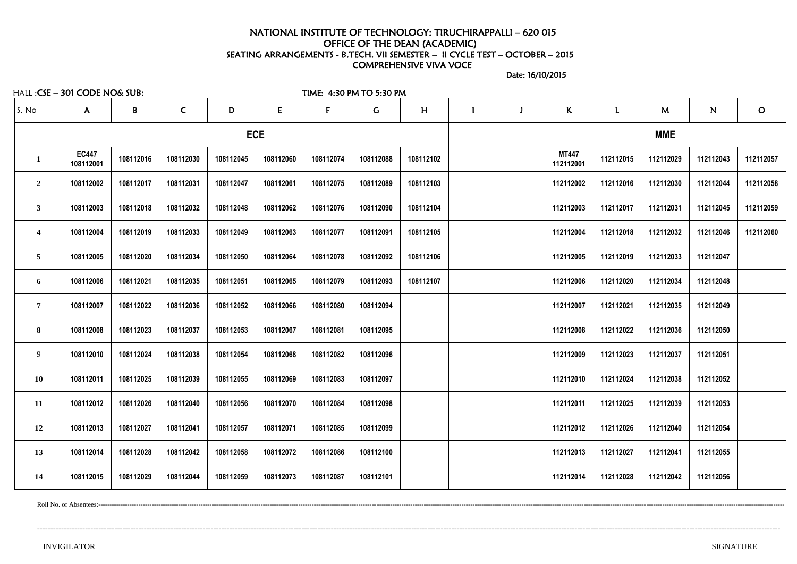# NATIONAL INSTITUTE OF TECHNOLOGY: TIRUCHIRAPPALLI – 620 015 OFFICE OF THE DEAN (ACADEMIC) SEATING ARRANGEMENTS - B.TECH. VII SEMESTER – II CYCLE TEST – OCTOBER – 2015 COMPREHENSIVE VIVA VOCE

Date: 16/10/2015

# **<sup>112112001</sup> <sup>112112015</sup> <sup>112112029</sup> <sup>112112043</sup> <sup>112112057</sup>**

| $\mathsf{A}$       | B         | $\mathsf{C}$                  | D         | E          | $\mathsf{F}$ | $\mathsf C$ | H         |                          | $\kappa$                  |           | M         | N         | $\mathbf{O}$ |
|--------------------|-----------|-------------------------------|-----------|------------|--------------|-------------|-----------|--------------------------|---------------------------|-----------|-----------|-----------|--------------|
|                    |           |                               |           | <b>MME</b> |              |             |           |                          |                           |           |           |           |              |
| EC447<br>108112001 | 108112016 | 108112030                     | 108112045 | 108112060  | 108112074    | 108112088   | 108112102 |                          | <b>MT447</b><br>112112001 | 112112015 | 112112029 | 112112043 | 112112057    |
| 108112002          | 108112017 | 108112031                     | 108112047 | 108112061  | 108112075    | 108112089   | 108112103 |                          | 112112002                 | 112112016 | 112112030 | 112112044 | 112112058    |
| 108112003          | 108112018 | 108112032                     | 108112048 | 108112062  | 108112076    | 108112090   | 108112104 |                          | 112112003                 | 112112017 | 112112031 | 112112045 | 112112059    |
| 108112004          | 108112019 | 108112033                     | 108112049 | 108112063  | 108112077    | 108112091   | 108112105 |                          | 112112004                 | 112112018 | 112112032 | 112112046 | 112112060    |
| 108112005          | 108112020 | 108112034                     | 108112050 | 108112064  | 108112078    | 108112092   | 108112106 |                          | 112112005                 | 112112019 | 112112033 | 112112047 |              |
| 108112006          | 108112021 | 108112035                     | 108112051 | 108112065  | 108112079    | 108112093   | 108112107 |                          | 112112006                 | 112112020 | 112112034 | 112112048 |              |
| 108112007          | 108112022 | 108112036                     | 108112052 | 108112066  | 108112080    | 108112094   |           |                          | 112112007                 | 112112021 | 112112035 | 112112049 |              |
| 108112008          | 108112023 | 108112037                     | 108112053 | 108112067  | 108112081    | 108112095   |           |                          | 112112008                 | 112112022 | 112112036 | 112112050 |              |
| 108112010          | 108112024 | 108112038                     | 108112054 | 108112068  | 108112082    | 108112096   |           |                          | 112112009                 | 112112023 | 112112037 | 112112051 |              |
| 108112011          | 108112025 | 108112039                     | 108112055 | 108112069  | 108112083    | 108112097   |           |                          | 112112010                 | 112112024 | 112112038 | 112112052 |              |
| 108112012          | 108112026 | 108112040                     | 108112056 | 108112070  | 108112084    | 108112098   |           |                          | 112112011                 | 112112025 | 112112039 | 112112053 |              |
| 108112013          | 108112027 | 108112041                     | 108112057 | 108112071  | 108112085    | 108112099   |           |                          | 112112012                 | 112112026 | 112112040 | 112112054 |              |
| 108112014          | 108112028 | 108112042                     | 108112058 | 108112072  | 108112086    | 108112100   |           |                          | 112112013                 | 112112027 | 112112041 | 112112055 |              |
| 108112015          | 108112029 | 108112044                     | 108112059 | 108112073  | 108112087    | 108112101   |           |                          | 112112014                 | 112112028 | 112112042 | 112112056 |              |
|                    |           | HALL :CSE – 301 CODE NO& SUB: |           |            | <b>ECE</b>   |             |           | TIME: 4:30 PM TO 5:30 PM |                           |           |           |           |              |

Roll No. of Absentees:--------------------------------------------------------------------------------------------------------------------------------------------------------------------------------------------------------------------------------------------------------------------------------------------------------------------

--------------------------------------------------------------------------------------------------------------------------------------------------------------------------------------------------------------------------------------------------------------------------------------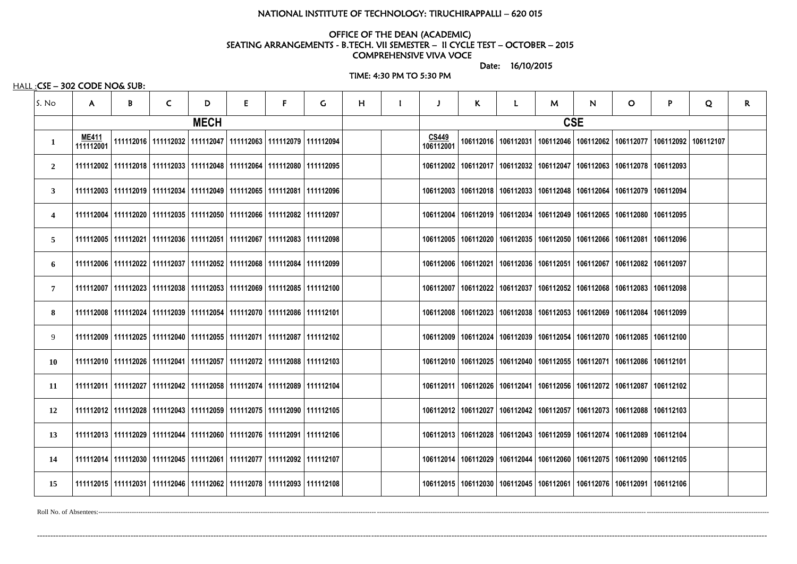# NATIONAL INSTITUTE OF TECHNOLOGY: TIRUCHIRAPPALLI – 620 015

# OFFICE OF THE DEAN (ACADEMIC) SEATING ARRANGEMENTS - B.TECH. VII SEMESTER – II CYCLE TEST – OCTOBER – 2015 COMPREHENSIVE VIVA VOCE

Date: 16/10/2015

TIME: 4:30 PM TO 5:30 PM

HALL :CSE – 302 CODE NO& SUB:

| S. No                   | $\mathsf{A}$              | B                                                                                 | $\mathsf{C}$ | D | E | F.                                                                    | G. | H |                           | K |                                                                                   | $\mathsf{M}$ | N. | $\mathbf{O}$          | P | Q | $\mathsf{R}$ |  |
|-------------------------|---------------------------|-----------------------------------------------------------------------------------|--------------|---|---|-----------------------------------------------------------------------|----|---|---------------------------|---|-----------------------------------------------------------------------------------|--------------|----|-----------------------|---|---|--------------|--|
|                         | <b>MECH</b>               |                                                                                   |              |   |   |                                                                       |    |   | <b>CSE</b>                |   |                                                                                   |              |    |                       |   |   |              |  |
| $\mathbf 1$             | <b>ME411</b><br>111112001 |                                                                                   |              |   |   | 111112016   111112032   111112047   111112063   111112079   111112094 |    |   | <b>CS449</b><br>106112001 |   | 106112016   106112031   106112046   106112062   106112077   106112092   106112107 |              |    |                       |   |   |              |  |
| $\overline{2}$          |                           | 111112002   111112018   111112033   111112048   111112064   111112080   111112095 |              |   |   |                                                                       |    |   |                           |   | 106112002   106112017   106112032   106112047   106112063   106112078   106112093 |              |    |                       |   |   |              |  |
| $\mathbf{3}$            |                           | 111112003   111112019   111112034   111112049   111112065   111112081   111112096 |              |   |   |                                                                       |    |   |                           |   | 106112003   106112018   106112033   106112048   106112064   106112079   106112094 |              |    |                       |   |   |              |  |
| $\overline{\mathbf{4}}$ |                           | 111112004   111112020   111112035   111112050   111112066   111112082   111112097 |              |   |   |                                                                       |    |   |                           |   | 106112004   106112019   106112034   106112049   106112065   106112080   106112095 |              |    |                       |   |   |              |  |
| 5                       |                           | 111112005   111112021   111112036   111112051   111112067   111112083   111112098 |              |   |   |                                                                       |    |   |                           |   | 106112005   106112020   106112035   106112050   106112066   106112081   106112096 |              |    |                       |   |   |              |  |
| 6                       |                           | 111112006   111112022   111112037   111112052   111112068   111112084   111112099 |              |   |   |                                                                       |    |   |                           |   | 106112006   106112021   106112036   106112051   106112067                         |              |    | 106112082   106112097 |   |   |              |  |
| $\overline{7}$          |                           | 111112007   111112023   111112038   111112053   111112069   111112085   111112100 |              |   |   |                                                                       |    |   |                           |   | 106112007   106112022   106112037   106112052   106112068   106112083   106112098 |              |    |                       |   |   |              |  |
| 8                       |                           | 111112008   111112024   111112039   111112054   111112070   111112086   111112101 |              |   |   |                                                                       |    |   |                           |   | 106112008   106112023   106112038   106112053   106112069   106112084   106112099 |              |    |                       |   |   |              |  |
| 9                       |                           | 111112009   111112025   111112040   111112055   111112071   111112087   111112102 |              |   |   |                                                                       |    |   |                           |   | 106112009   106112024   106112039   106112054   106112070   106112085   106112100 |              |    |                       |   |   |              |  |
| 10                      |                           | 111112010   111112026   111112041   111112057   111112072   111112088   111112103 |              |   |   |                                                                       |    |   |                           |   | 106112010   106112025   106112040   106112055   106112071   106112086   106112101 |              |    |                       |   |   |              |  |
| 11                      |                           | 111112011   111112027   111112042   111112058   111112074   111112089   111112104 |              |   |   |                                                                       |    |   |                           |   | 106112011   106112026   106112041   106112056   106112072   106112087   106112102 |              |    |                       |   |   |              |  |
| 12                      |                           | 111112012   111112028   111112043   111112059   111112075   111112090   111112105 |              |   |   |                                                                       |    |   |                           |   | 106112012   106112027   106112042   106112057   106112073   106112088   106112103 |              |    |                       |   |   |              |  |
| 13                      |                           | 111112013   111112029   111112044   111112060   111112076   111112091   111112106 |              |   |   |                                                                       |    |   |                           |   | 106112013   106112028   106112043   106112059   106112074   106112089   106112104 |              |    |                       |   |   |              |  |
| 14                      |                           | 111112014   111112030   111112045   111112061   111112077   111112092   111112107 |              |   |   |                                                                       |    |   |                           |   | 106112014   106112029   106112044   106112060   106112075   106112090   106112105 |              |    |                       |   |   |              |  |
| 15                      |                           | 111112015   111112031   111112046   111112062   111112078   111112093   111112108 |              |   |   |                                                                       |    |   |                           |   | 106112015   106112030   106112045   106112061   106112076   106112091   106112106 |              |    |                       |   |   |              |  |

Roll No. of Absentees:-------------------------------------------------------------------------------------------------------------------------------------------------------------------------------------------------------------------------------------------------------------------------------------------------------------

---------------------------------------------------------------------------------------------------------------------------------------------------------------------------------------------------------------------------------------------------------------------------------